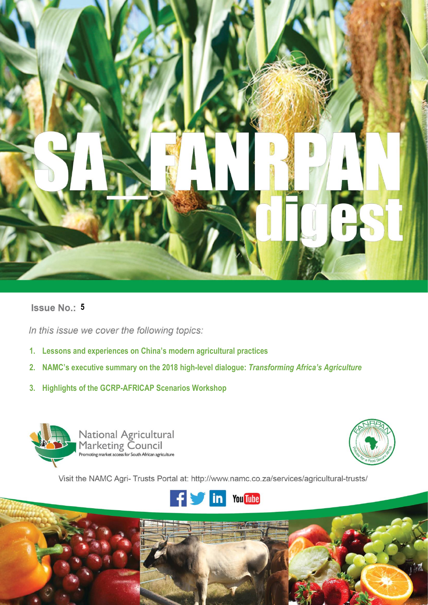

# **Issue No.: 5**

**i |** P a g e

In this issue we cover the following topics:

- **1. Lessons and experiences on China's modern agricultural practices**
- **2. NAMC's executive summary on the 2018 high-level dialogue:** *Transforming Africa's Agriculture*
- **3. Highlights of the GCRP-AFRICAP Scenarios Workshop**





Visit the NAMC Agri- Trusts Portal at: http://www.namc.co.za/services/agricultural-trusts/

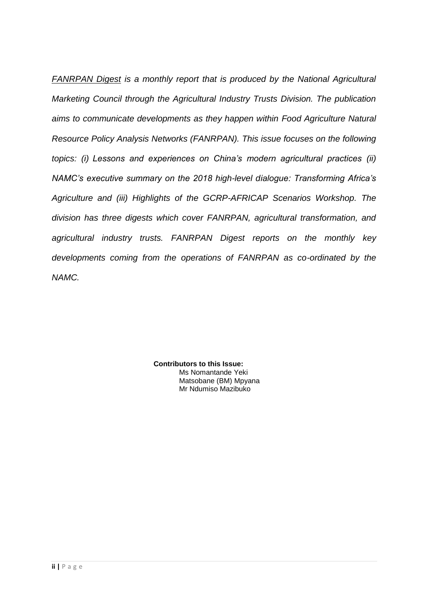*FANRPAN Digest is a monthly report that is produced by the National Agricultural Marketing Council through the Agricultural Industry Trusts Division. The publication aims to communicate developments as they happen within Food Agriculture Natural Resource Policy Analysis Networks (FANRPAN). This issue focuses on the following topics: (i) Lessons and experiences on China's modern agricultural practices (ii) NAMC's executive summary on the 2018 high-level dialogue: Transforming Africa's Agriculture and (iii) Highlights of the GCRP-AFRICAP Scenarios Workshop. The division has three digests which cover FANRPAN, agricultural transformation, and agricultural industry trusts. FANRPAN Digest reports on the monthly key developments coming from the operations of FANRPAN as co-ordinated by the NAMC.*

> **Contributors to this Issue:** Ms Nomantande Yeki Matsobane (BM) Mpyana Mr Ndumiso Mazibuko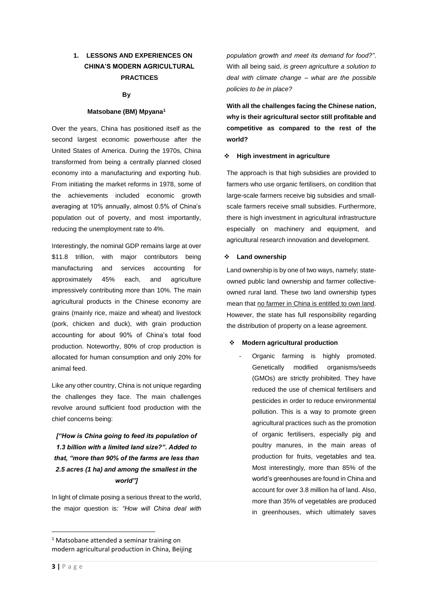## **1. LESSONS AND EXPERIENCES ON CHINA'S MODERN AGRICULTURAL PRACTICES**

#### **By**

#### **Matsobane (BM) Mpyana<sup>1</sup>**

Over the years, China has positioned itself as the second largest economic powerhouse after the United States of America. During the 1970s, China transformed from being a centrally planned closed economy into a manufacturing and exporting hub. From initiating the market reforms in 1978, some of the achievements included economic growth averaging at 10% annually, almost 0.5% of China's population out of poverty, and most importantly, reducing the unemployment rate to 4%.

Interestingly, the nominal GDP remains large at over \$11.8 trillion, with major contributors being manufacturing and services accounting for approximately 45% each, and agriculture impressively contributing more than 10%. The main agricultural products in the Chinese economy are grains (mainly rice, maize and wheat) and livestock (pork, chicken and duck), with grain production accounting for about 90% of China's total food production. Noteworthy, 80% of crop production is allocated for human consumption and only 20% for animal feed.

Like any other country, China is not unique regarding the challenges they face. The main challenges revolve around sufficient food production with the chief concerns being:

# *["How is China going to feed its population of 1.3 billion with a limited land size?". Added to that, "more than 90% of the farms are less than 2.5 acres (1 ha) and among the smallest in the world"]*

In light of climate posing a serious threat to the world, the major question is: *"How will China deal with*  *population growth and meet its demand for food?"*. With all being said, *is green agriculture a solution to deal with climate change – what are the possible policies to be in place?* 

**With all the challenges facing the Chinese nation, why is their agricultural sector still profitable and competitive as compared to the rest of the world?**

#### ❖ **High investment in agriculture**

The approach is that high subsidies are provided to farmers who use organic fertilisers, on condition that large-scale farmers receive big subsidies and smallscale farmers receive small subsidies. Furthermore, there is high investment in agricultural infrastructure especially on machinery and equipment, and agricultural research innovation and development.

#### ❖ **Land ownership**

Land ownership is by one of two ways, namely; stateowned public land ownership and farmer collectiveowned rural land. These two land ownership types mean that no farmer in China is entitled to own land. However, the state has full responsibility regarding the distribution of property on a lease agreement.

#### ❖ **Modern agricultural production**

Organic farming is highly promoted. Genetically modified organisms/seeds (GMOs) are strictly prohibited. They have reduced the use of chemical fertilisers and pesticides in order to reduce environmental pollution. This is a way to promote green agricultural practices such as the promotion of organic fertilisers, especially pig and poultry manures, in the main areas of production for fruits, vegetables and tea. Most interestingly, more than 85% of the world's greenhouses are found in China and account for over 3.8 million ha of land. Also, more than 35% of vegetables are produced in greenhouses, which ultimately saves

1

<sup>&</sup>lt;sup>1</sup> Matsobane attended a seminar training on modern agricultural production in China, Beijing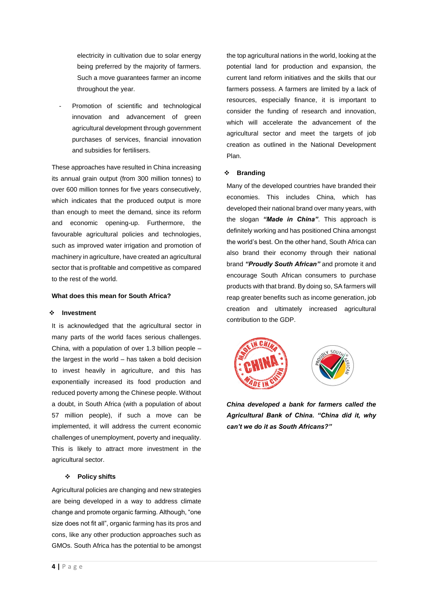electricity in cultivation due to solar energy being preferred by the majority of farmers. Such a move guarantees farmer an income throughout the year.

Promotion of scientific and technological innovation and advancement of green agricultural development through government purchases of services, financial innovation and subsidies for fertilisers.

These approaches have resulted in China increasing its annual grain output (from 300 million tonnes) to over 600 million tonnes for five years consecutively, which indicates that the produced output is more than enough to meet the demand, since its reform and economic opening-up. Furthermore, the favourable agricultural policies and technologies, such as improved water irrigation and promotion of machinery in agriculture, have created an agricultural sector that is profitable and competitive as compared to the rest of the world.

#### **What does this mean for South Africa?**

#### ❖ **Investment**

It is acknowledged that the agricultural sector in many parts of the world faces serious challenges. China, with a population of over 1.3 billion people – the largest in the world – has taken a bold decision to invest heavily in agriculture, and this has exponentially increased its food production and reduced poverty among the Chinese people. Without a doubt, in South Africa (with a population of about 57 million people), if such a move can be implemented, it will address the current economic challenges of unemployment, poverty and inequality. This is likely to attract more investment in the agricultural sector.

#### ❖ **Policy shifts**

Agricultural policies are changing and new strategies are being developed in a way to address climate change and promote organic farming. Although, "one size does not fit all", organic farming has its pros and cons, like any other production approaches such as GMOs. South Africa has the potential to be amongst the top agricultural nations in the world, looking at the potential land for production and expansion, the current land reform initiatives and the skills that our farmers possess. A farmers are limited by a lack of resources, especially finance, it is important to consider the funding of research and innovation, which will accelerate the advancement of the agricultural sector and meet the targets of job creation as outlined in the National Development Plan.

#### ❖ **Branding**

Many of the developed countries have branded their economies. This includes China, which has developed their national brand over many years, with the slogan *"Made in China"*. This approach is definitely working and has positioned China amongst the world's best. On the other hand, South Africa can also brand their economy through their national brand *"Proudly South African"* and promote it and encourage South African consumers to purchase products with that brand. By doing so, SA farmers will reap greater benefits such as income generation, job creation and ultimately increased agricultural contribution to the GDP.



*China developed a bank for farmers called the Agricultural Bank of China. "China did it, why can't we do it as South Africans?"*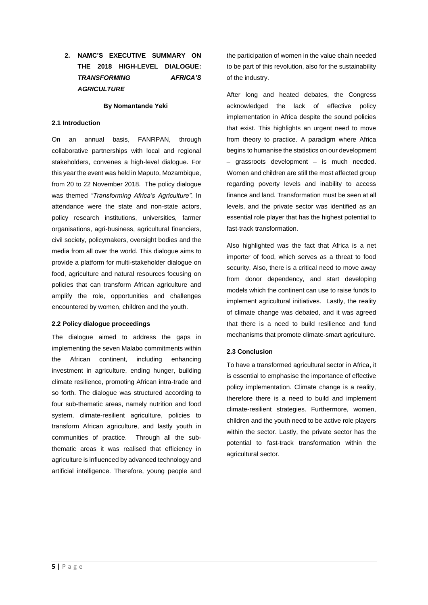# **2. NAMC'S EXECUTIVE SUMMARY ON THE 2018 HIGH-LEVEL DIALOGUE:**  *TRANSFORMING AFRICA'S AGRICULTURE*

#### **By Nomantande Yeki**

#### **2.1 Introduction**

On an annual basis, FANRPAN, through collaborative partnerships with local and regional stakeholders, convenes a high-level dialogue. For this year the event was held in Maputo, Mozambique, from 20 to 22 November 2018. The policy dialogue was themed *"Transforming Africa's Agriculture".* In attendance were the state and non-state actors, policy research institutions, universities, farmer organisations, agri-business, agricultural financiers, civil society, policymakers, oversight bodies and the media from all over the world. This dialogue aims to provide a platform for multi-stakeholder dialogue on food, agriculture and natural resources focusing on policies that can transform African agriculture and amplify the role, opportunities and challenges encountered by women, children and the youth.

#### **2.2 Policy dialogue proceedings**

The dialogue aimed to address the gaps in implementing the seven Malabo commitments within the African continent, including enhancing investment in agriculture, ending hunger, building climate resilience, promoting African intra-trade and so forth. The dialogue was structured according to four sub-thematic areas, namely nutrition and food system, climate-resilient agriculture, policies to transform African agriculture, and lastly youth in communities of practice. Through all the subthematic areas it was realised that efficiency in agriculture is influenced by advanced technology and artificial intelligence. Therefore, young people and

the participation of women in the value chain needed to be part of this revolution, also for the sustainability of the industry.

After long and heated debates, the Congress acknowledged the lack of effective policy implementation in Africa despite the sound policies that exist. This highlights an urgent need to move from theory to practice. A paradigm where Africa begins to humanise the statistics on our development – grassroots development – is much needed. Women and children are still the most affected group regarding poverty levels and inability to access finance and land. Transformation must be seen at all levels, and the private sector was identified as an essential role player that has the highest potential to fast-track transformation.

Also highlighted was the fact that Africa is a net importer of food, which serves as a threat to food security. Also, there is a critical need to move away from donor dependency, and start developing models which the continent can use to raise funds to implement agricultural initiatives. Lastly, the reality of climate change was debated, and it was agreed that there is a need to build resilience and fund mechanisms that promote climate-smart agriculture.

### **2.3 Conclusion**

To have a transformed agricultural sector in Africa, it is essential to emphasise the importance of effective policy implementation. Climate change is a reality, therefore there is a need to build and implement climate-resilient strategies. Furthermore, women, children and the youth need to be active role players within the sector. Lastly, the private sector has the potential to fast-track transformation within the agricultural sector.